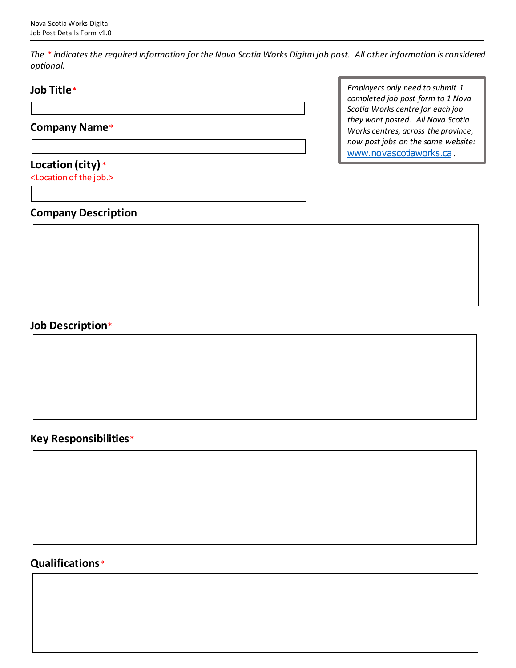*The \* indicates the required information for the Nova Scotia Works Digital job post. All other information is considered optional.*

# **Job Title**\*

### **Company Name**\*

## **Location (city)** \*

<Location of the job.>

*Employers only need to submit 1 completed job post form to 1 Nova Scotia Works centre for each job they want posted. All Nova Scotia Works centres, across the province, now post jobs on the same website:*  www.novascotiaworks.ca *.*

## **Company Description**

# **Job Description**\*

## **Key Responsibilities**\*

# **Qualifications**\*